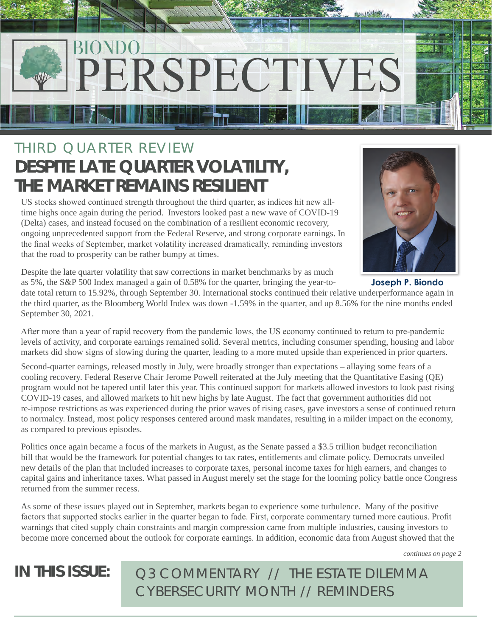# PERSPECTIVES

## THIRD QUARTER REVIEW **DESPITE LATE QUARTER VOLATILITY, THE MARKET REMAINS RESILIENT**

US stocks showed continued strength throughout the third quarter, as indices hit new alltime highs once again during the period. Investors looked past a new wave of COVID-19 (Delta) cases, and instead focused on the combination of a resilient economic recovery, ongoing unprecedented support from the Federal Reserve, and strong corporate earnings. In the final weeks of September, market volatility increased dramatically, reminding investors that the road to prosperity can be rather bumpy at times.



**Joseph P. Biondo**

Despite the late quarter volatility that saw corrections in market benchmarks by as much as 5%, the S&P 500 Index managed a gain of 0.58% for the quarter, bringing the year-to-

date total return to 15.92%, through September 30. International stocks continued their relative underperformance again in the third quarter, as the Bloomberg World Index was down -1.59% in the quarter, and up 8.56% for the nine months ended September 30, 2021.

After more than a year of rapid recovery from the pandemic lows, the US economy continued to return to pre-pandemic levels of activity, and corporate earnings remained solid. Several metrics, including consumer spending, housing and labor markets did show signs of slowing during the quarter, leading to a more muted upside than experienced in prior quarters.

Second-quarter earnings, released mostly in July, were broadly stronger than expectations – allaying some fears of a cooling recovery. Federal Reserve Chair Jerome Powell reiterated at the July meeting that the Quantitative Easing (QE) program would not be tapered until later this year. This continued support for markets allowed investors to look past rising COVID-19 cases, and allowed markets to hit new highs by late August. The fact that government authorities did not re-impose restrictions as was experienced during the prior waves of rising cases, gave investors a sense of continued return to normalcy. Instead, most policy responses centered around mask mandates, resulting in a milder impact on the economy, as compared to previous episodes.

Politics once again became a focus of the markets in August, as the Senate passed a \$3.5 trillion budget reconciliation bill that would be the framework for potential changes to tax rates, entitlements and climate policy. Democrats unveiled new details of the plan that included increases to corporate taxes, personal income taxes for high earners, and changes to capital gains and inheritance taxes. What passed in August merely set the stage for the looming policy battle once Congress returned from the summer recess.

As some of these issues played out in September, markets began to experience some turbulence. Many of the positive factors that supported stocks earlier in the quarter began to fade. First, corporate commentary turned more cautious. Profit warnings that cited supply chain constraints and margin compression came from multiple industries, causing investors to become more concerned about the outlook for corporate earnings. In addition, economic data from August showed that the

*continues on page 2*

**IN THIS ISSUE:** *Q3 COMMENTARY // THE ESTATE DILEMMA CYBERSECURITY MONTH // REMINDERS*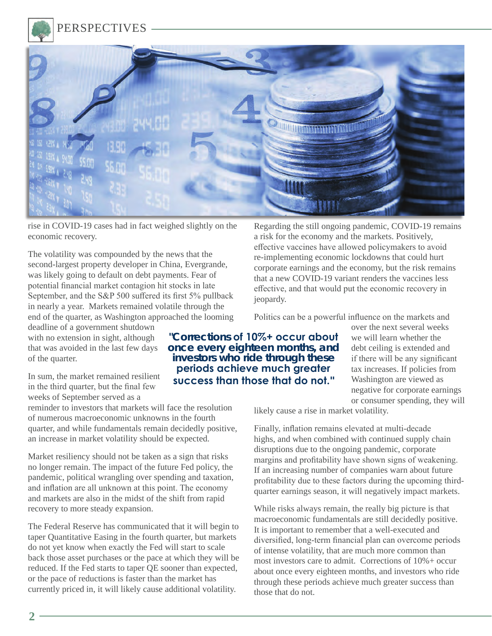PERSPECTIVES



rise in COVID-19 cases had in fact weighed slightly on the economic recovery.

The volatility was compounded by the news that the second-largest property developer in China, Evergrande, was likely going to default on debt payments. Fear of potential financial market contagion hit stocks in late September, and the S&P 500 suffered its first 5% pullback in nearly a year. Markets remained volatile through the end of the quarter, as Washington approached the looming

deadline of a government shutdown with no extension in sight, although that was avoided in the last few days of the quarter.

In sum, the market remained resilient in the third quarter, but the final few weeks of September served as a

reminder to investors that markets will face the resolution of numerous macroeconomic unknowns in the fourth quarter, and while fundamentals remain decidedly positive, an increase in market volatility should be expected.

Market resiliency should not be taken as a sign that risks no longer remain. The impact of the future Fed policy, the pandemic, political wrangling over spending and taxation, and inflation are all unknown at this point. The economy and markets are also in the midst of the shift from rapid recovery to more steady expansion.

The Federal Reserve has communicated that it will begin to taper Quantitative Easing in the fourth quarter, but markets do not yet know when exactly the Fed will start to scale back those asset purchases or the pace at which they will be reduced. If the Fed starts to taper QE sooner than expected, or the pace of reductions is faster than the market has currently priced in, it will likely cause additional volatility.

Regarding the still ongoing pandemic, COVID-19 remains a risk for the economy and the markets. Positively, effective vaccines have allowed policymakers to avoid re-implementing economic lockdowns that could hurt corporate earnings and the economy, but the risk remains that a new COVID-19 variant renders the vaccines less effective, and that would put the economic recovery in jeopardy.

Politics can be a powerful influence on the markets and

**"Corrections of 10%+ occur about once every eighteen months, and investors who ride through these periods achieve much greater success than those that do not."**

over the next several weeks we will learn whether the debt ceiling is extended and if there will be any significant tax increases. If policies from Washington are viewed as negative for corporate earnings or consumer spending, they will

likely cause a rise in market volatility.

Finally, inflation remains elevated at multi-decade highs, and when combined with continued supply chain disruptions due to the ongoing pandemic, corporate margins and profitability have shown signs of weakening. If an increasing number of companies warn about future profitability due to these factors during the upcoming thirdquarter earnings season, it will negatively impact markets.

While risks always remain, the really big picture is that macroeconomic fundamentals are still decidedly positive. It is important to remember that a well-executed and diversified, long-term financial plan can overcome periods of intense volatility, that are much more common than most investors care to admit. Corrections of  $10% +$  occur about once every eighteen months, and investors who ride through these periods achieve much greater success than those that do not.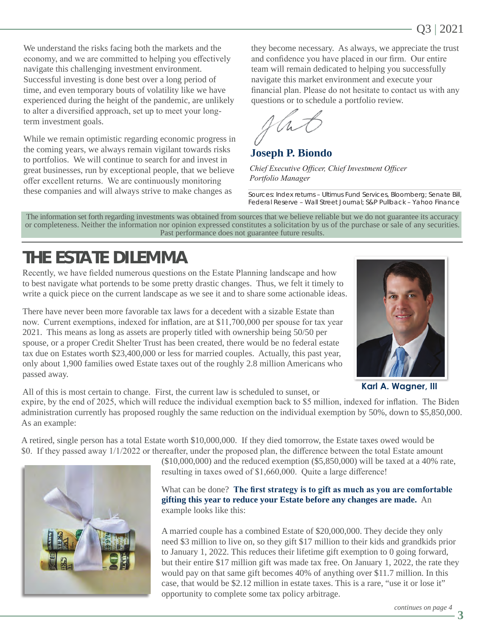We understand the risks facing both the markets and the economy, and we are committed to helping you effectively navigate this challenging investment environment. Successful investing is done best over a long period of time, and even temporary bouts of volatility like we have experienced during the height of the pandemic, are unlikely to alter a diversified approach, set up to meet your longterm investment goals.

While we remain optimistic regarding economic progress in the coming years, we always remain vigilant towards risks to portfolios. We will continue to search for and invest in great businesses, run by exceptional people, that we believe offer excellent returns. We are continuously monitoring these companies and will always strive to make changes as

they become necessary. As always, we appreciate the trust and confidence you have placed in our firm. Our entire team will remain dedicated to helping you successfully navigate this market environment and execute your financial plan. Please do not hesitate to contact us with any questions or to schedule a portfolio review.

**Joseph P. Biondo**

*Chief Executive Officer, Chief Investment Officer Portfolio Manager*

Sources: Index returns – Ultimus Fund Services, Bloomberg; Senate Bill, Federal Reserve – Wall Street Journal; S&P Pullback – Yahoo Finance

The information set forth regarding investments was obtained from sources that we believe reliable but we do not guarantee its accuracy or completeness. Neither the information nor opinion expressed constitutes a solicitation by us of the purchase or sale of any securities. Past performance does not guarantee future results.

## **THE ESTATE DILEMMA**

Recently, we have fielded numerous questions on the Estate Planning landscape and how to best navigate what portends to be some pretty drastic changes. Thus, we felt it timely to write a quick piece on the current landscape as we see it and to share some actionable ideas.

There have never been more favorable tax laws for a decedent with a sizable Estate than now. Current exemptions, indexed for inflation, are at \$11,700,000 per spouse for tax year 2021. This means as long as assets are properly titled with ownership being 50/50 per spouse, or a proper Credit Shelter Trust has been created, there would be no federal estate tax due on Estates worth \$23,400,000 or less for married couples. Actually, this past year, only about 1,900 families owed Estate taxes out of the roughly 2.8 million Americans who passed away.



**Karl A. Wagner, III**

All of this is most certain to change. First, the current law is scheduled to sunset, or

expire, by the end of 2025, which will reduce the individual exemption back to \$5 million, indexed for inflation. The Biden administration currently has proposed roughly the same reduction on the individual exemption by 50%, down to \$5,850,000. As an example:

A retired, single person has a total Estate worth \$10,000,000. If they died tomorrow, the Estate taxes owed would be \$0. If they passed away 1/1/2022 or thereafter, under the proposed plan, the difference between the total Estate amount



 $($10,000,000)$  and the reduced exemption  $($5,850,000)$  will be taxed at a 40% rate, resulting in taxes owed of \$1,660,000. Quite a large difference!

What can be done? **The first strategy is to gift as much as you are comfortable gifting this year to reduce your Estate before any changes are made.** An example looks like this:

A married couple has a combined Estate of \$20,000,000. They decide they only need \$3 million to live on, so they gift \$17 million to their kids and grandkids prior to January 1, 2022. This reduces their lifetime gift exemption to 0 going forward, but their entire \$17 million gift was made tax free. On January 1, 2022, the rate they would pay on that same gift becomes 40% of anything over \$11.7 million. In this case, that would be \$2.12 million in estate taxes. This is a rare, "use it or lose it" opportunity to complete some tax policy arbitrage.